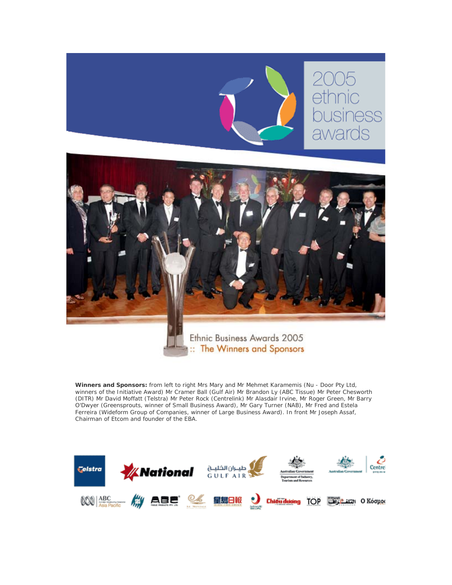

**Winners and Sponsors:** from left to right Mrs Mary and Mr Mehmet Karamemis (Nu - Door Pty Ltd, winners of the Initiative Award) Mr Cramer Ball (Gulf Air) Mr Brandon Ly (ABC Tissue) Mr Peter Chesworth (DITR) Mr David Moffatt (Telstra) Mr Peter Rock (Centrelink) Mr Alasdair Irvine, Mr Roger Green, Mr Barry O'Dwyer (Greensprouts, winner of Small Business Award), Mr Gary Turner (NAB), Mr Fred and Estela Ferreira (Wideform Group of Companies, winner of Large Business Award). In front Mr Joseph Assaf, Chairman of Etcom and founder of the EBA.

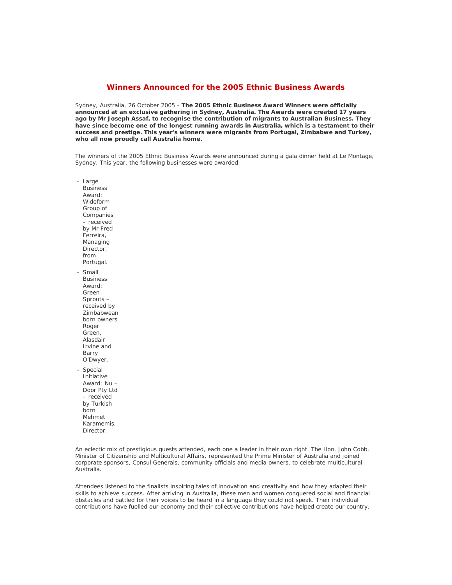# **Winners Announced for the 2005 Ethnic Business Awards**

Sydney, Australia, 26 October 2005 - **The 2005 Ethnic Business Award Winners were officially announced at an exclusive gathering in Sydney, Australia. The Awards were created 17 years ago by Mr Joseph Assaf, to recognise the contribution of migrants to Australian Business. They have since become one of the longest running awards in Australia, which is a testament to their success and prestige. This year's winners were migrants from Portugal, Zimbabwe and Turkey, who all now proudly call Australia home.**

The winners of the 2005 Ethnic Business Awards were announced during a gala dinner held at Le Montage, Sydney. This year, the following businesses were awarded:

- Large Business Award: Wideform Group of **Companies** – received by Mr Fred Ferreira, Managing Director, from Portugal. - Small

Business Award: Green Sprouts – received by Zimbabwean born owners Roger Green, Alasdair Irvine and Barry O'Dwyer.

- Special Initiative Award: Nu – Door Pty Ltd – received by Turkish born Mehmet Karamemis, Director.

An eclectic mix of prestigious guests attended, each one a leader in their own right. The Hon. John Cobb, Minister of Citizenship and Multicultural Affairs, represented the Prime Minister of Australia and joined corporate sponsors, Consul Generals, community officials and media owners, to celebrate multicultural Australia.

Attendees listened to the finalists inspiring tales of innovation and creativity and how they adapted their skills to achieve success. After arriving in Australia, these men and women conquered social and financial obstacles and battled for their voices to be heard in a language they could not speak. Their individual contributions have fuelled our economy and their collective contributions have helped create our country.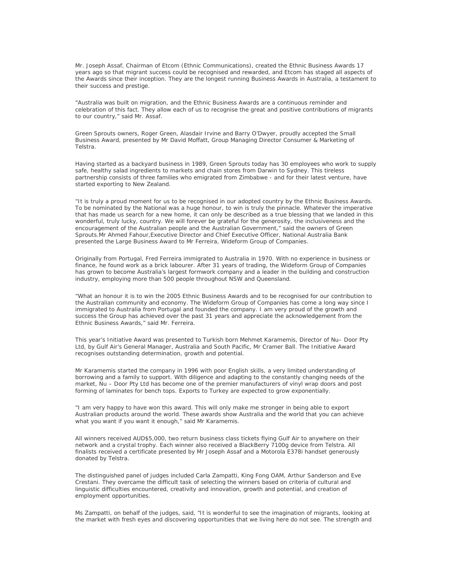Mr. Joseph Assaf, Chairman of Etcom (Ethnic Communications), created the Ethnic Business Awards 17 years ago so that migrant success could be recognised and rewarded, and Etcom has staged all aspects of the Awards since their inception. They are the longest running Business Awards in Australia, a testament to their success and prestige.

"Australia was built on migration, and the Ethnic Business Awards are a continuous reminder and celebration of this fact. They allow each of us to recognise the great and positive contributions of migrants to our country," said Mr. Assaf.

Green Sprouts owners, Roger Green, Alasdair Irvine and Barry O'Dwyer, proudly accepted the Small Business Award, presented by Mr David Moffatt, Group Managing Director Consumer & Marketing of Telstra.

Having started as a backyard business in 1989, Green Sprouts today has 30 employees who work to supply safe, healthy salad ingredients to markets and chain stores from Darwin to Sydney. This tireless partnership consists of three families who emigrated from Zimbabwe - and for their latest venture, have started exporting to New Zealand.

"It is truly a proud moment for us to be recognised in our adopted country by the Ethnic Business Awards. To be nominated by the National was a huge honour, to win is truly the pinnacle. Whatever the imperative that has made us search for a new home, it can only be described as a true blessing that we landed in this wonderful, truly lucky, country. We will forever be grateful for the generosity, the inclusiveness and the encouragement of the Australian people and the Australian Government," said the owners of Green Sprouts.Mr Ahmed Fahour,Executive Director and Chief Executive Officer, National Australia Bank presented the Large Business Award to Mr Ferreira, Wideform Group of Companies.

Originally from Portugal, Fred Ferreira immigrated to Australia in 1970. With no experience in business or finance, he found work as a brick labourer. After 31 years of trading, the Wideform Group of Companies has grown to become Australia's largest formwork company and a leader in the building and construction industry, employing more than 500 people throughout NSW and Queensland.

"What an honour it is to win the 2005 Ethnic Business Awards and to be recognised for our contribution to the Australian community and economy. The Wideform Group of Companies has come a long way since I immigrated to Australia from Portugal and founded the company. I am very proud of the growth and success the Group has achieved over the past 31 years and appreciate the acknowledgement from the Ethnic Business Awards," said Mr. Ferreira.

This year's Initiative Award was presented to Turkish born Mehmet Karamemis, Director of Nu– Door Pty Ltd, by Gulf Air's General Manager, Australia and South Pacific, Mr Cramer Ball. The Initiative Award recognises outstanding determination, growth and potential.

Mr Karamemis started the company in 1996 with poor English skills, a very limited understanding of borrowing and a family to support. With diligence and adapting to the constantly changing needs of the market, Nu – Door Pty Ltd has become one of the premier manufacturers of vinyl wrap doors and post forming of laminates for bench tops. Exports to Turkey are expected to grow exponentially.

"I am very happy to have won this award. This will only make me stronger in being able to export Australian products around the world. These awards show Australia and the world that you can achieve what you want if you want it enough," said Mr Karamemis.

All winners received AUD\$5,000, two return business class tickets flying Gulf Air to anywhere on their network and a crystal trophy. Each winner also received a BlackBerry 7100g device from Telstra. All finalists received a certificate presented by Mr Joseph Assaf and a Motorola E378i handset generously donated by Telstra.

The distinguished panel of judges included Carla Zampatti, King Fong OAM, Arthur Sanderson and Eve Crestani. They overcame the difficult task of selecting the winners based on criteria of cultural and linguistic difficulties encountered, creativity and innovation, growth and potential, and creation of employment opportunities.

Ms Zampatti, on behalf of the judges, said, "It is wonderful to see the imagination of migrants, looking at the market with fresh eyes and discovering opportunities that we living here do not see. The strength and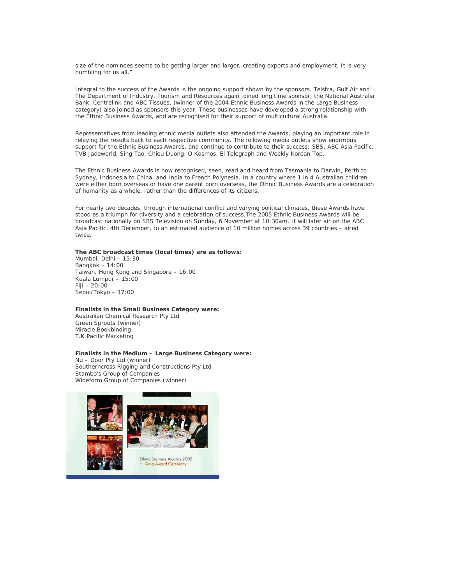size of the nominees seems to be getting larger and larger, creating exports and employment. It is very humbling for us all."

Integral to the success of the Awards is the ongoing support shown by the sponsors. Telstra, Gulf Air and The Department of Industry, Tourism and Resources again joined long time sponsor, the National Australia Bank. Centrelink and ABC Tissues, (winner of the 2004 Ethnic Business Awards in the Large Business category) also joined as sponsors this year. These businesses have developed a strong relationship with the Ethnic Business Awards, and are recognised for their support of multicultural Australia.

Representatives from leading ethnic media outlets also attended the Awards, playing an important role in relaying the results back to each respective community. The following media outlets show enormous support for the Ethnic Business Awards, and continue to contribute to their success: SBS, ABC Asia Pacific, TVB Jadeworld, Sing Tao, Chieu Duong, O Kosmos, El Telegraph and Weekly Korean Top.

The Ethnic Business Awards is now recognised, seen, read and heard from Tasmania to Darwin, Perth to Sydney, Indonesia to China, and India to French Polynesia. In a country where 1 in 4 Australian children were either born overseas or have one parent born overseas, the Ethnic Business Awards are a celebration of humanity as a whole, rather than the differences of its citizens.

For nearly two decades, through international conflict and varying political climates, these Awards have stood as a triumph for diversity and a celebration of success.The 2005 Ethnic Business Awards will be broadcast nationally on SBS Television on Sunday, 6 November at 10:30am. It will later air on the ABC Asia Pacific, 4th December, to an estimated audience of 10 million homes across 39 countries – aired twice.

## **The ABC broadcast times (local times) are as follows:**

Mumbai, Delhi – 15:30 Bangkok – 14:00 Taiwan, Hong Kong and Singapore – 16:00 Kuala Lumpur – 15:00 Fiji – 20:00 Seoul/Tokyo – 17:00

### **Finalists in the Small Business Category were:**

Australian Chemical Research Pty Ltd Green Sprouts (winner) Miracle Bookbinding T.K Pacific Marketing

#### **Finalists in the Medium – Large Business Category were:**

Nu – Door Pty Ltd (winner) Southerncross Rigging and Constructions Pty Ltd Stambo's Group of Companies Wideform Group of Companies (winner)